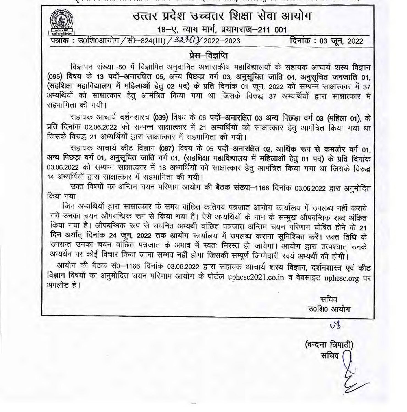THE R. P. LEWIS CO., LANSING, MICH. 49, 2002. THE R. P. LEWIS CO., LANSING, MICH. 2003. THE R. P. LEWIS CO., LANSING, उत्तर प्रदेश उच्चतर शिक्षा सेवा आयोग 18–ए, न्याय मार्ग, प्रयागराज-211 001 पत्रांक: उ०शि०आयोग /सी-824(III) / 32 ° (1) / 2022-2023 दिनांक : 03 जून, 2022 प्रेस–विज्ञप्ति विज्ञापन संख्या-50 में विज्ञापित अनुदानित अशासकीय महाविद्यालयों के सहायक आचार्य शस्य विज्ञान (095) विषय के 13 पदों-अनारक्षित 05, अन्य पिछड़ा वर्ग 03, अनुसूचित जाति 04, अनुसूचित जनजाति 01, (सहशिक्षा महाविद्यालय में महिलाओं हेतु 02 पद) के प्रति दिनांक 01 जून, 2022 को सम्पन्न साक्षात्कार में 37 अभ्यर्थियों को साक्षात्कार हेतु आमंत्रित किया गया था जिसके विरुद्ध 37 अभ्यर्थियों द्वारा साक्षात्कार में सहभागिता की गयी। सहायक आचार्य दर्शनशास्त्र (039) विषय के 06 पदों-अनारक्षित 03 अन्य पिछड़ा वर्ग 03 (महिला 01), के प्रति दिनांक 02.06.2022 को सम्पन्न साक्षात्कार में 21 अभ्यर्थियों को साक्षात्कार हेतू आमंत्रित किया गया था जिसके विरुद्ध 21 अभ्यर्थियों द्वारा साक्षात्कार में सहभागिता की गयी। सहायक आचार्य कीट विज्ञान (087) विषय के 05 पदों अनारक्षित 02, आर्थिक रूप से कमजोर वर्ग 01, अन्य पिछड़ा वर्ग 01, अनुसूचित जाति वर्ग 01, (सहशिक्षा महाविद्यालय में महिलाओं हेतु 01 पद) के प्रति दिनांक 03.06.2022 को सम्पन्न साक्षात्कार में 18 अभ्यर्थियों को साक्षात्कार हेतू आमंत्रित किया गया था जिसके विरुद्ध

14 अभ्यर्थियों द्वारा साक्षात्कार में सहभागिता की गयी।

उक्त विषयों का अन्तिम चयन परिणाम आयोग की बैठक संख्या-1166 दिनांक 03.06.2022 द्वारा अनुमोदित किया गया।

जिन अभ्यर्थियों द्वारा साक्षात्कार के समय वांछित कतिपय पत्रजात आयोग कार्यालय में उपलब्ध नहीं कराये गये उनका चयन औपबन्धिक रूप से किया गया है। ऐसे अभ्यर्थियों के नाम के सम्मूख औपबन्धिक शब्द अंकित किया गया है। औपबन्धिक रूप से चयनित अभ्यर्थी वांछित पत्रजात अन्तिम चयन परिणाम घोषित होने के 21 दिन अर्थात् दिनांक 24 जून, 2022 तक आयोग कार्यालय में उपलब्ध कराना सुनिश्चित करें। उक्त तिथि के उपरान्त उनका चयन वांछित पत्रजात के अभाव में स्वतः निरस्त हो जायेगा। आयोग द्वारा तत्पश्चात् उनके अभ्यर्थन पर कोई विचार किया जाना सम्भव नहीं होगा जिसकी सम्पूर्ण जिम्मेदारी स्वयं अभ्यर्थी की होगी। आयोग की बैठक सं0-1166 दिनांक 03.06.2022 द्वारा सहायक आचार्य शस्य विज्ञान, दर्शनशास्त्र एवं कीट विज्ञान विषयों का अनुमोदित चयन परिणाम आयोग के पोर्टल uphesc2021.co.in व वेबसाइट uphesc.org पर अपलोड है। सचिव उ०शि० आयोग VB (वन्दना त्रिपाठी) सचिव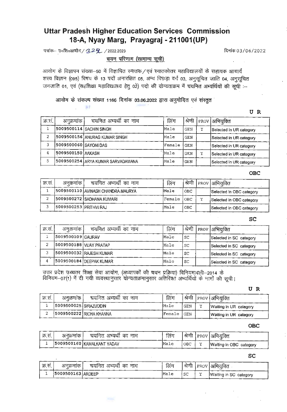# **Uttar Pradesh Higher Education Services Commission 18-A, Nyay Marg, Prayagraj - 211001 (UP)**

पत्रांक-- उ०शि०आयोग /  $\frac{1}{3}$  / 2022.2023  $\frac{1}{3}$  and  $\frac{1}{3}$  and  $\frac{1}{3}$  and  $\frac{1}{3}$  and  $\frac{1}{3}$  and  $\frac{1}{3}$  and  $\frac{1}{3}$  and  $\frac{1}{3}$  and  $\frac{1}{3}$  and  $\frac{1}{3}$  and  $\frac{1}{3}$  and  $\frac{1}{3}$  and  $\frac{1}{3}$ 

1944

 $\mathbb{R}^2$ 

चयन परिणाम (सामान्य सूची)

<u>. यसन पारणान (सानान्य सूत्रा)</u><br>आयोग के विज्ञापन संख्या—50 में विज्ञापित स्नातक ⁄ एवं स्नातकोत्तर महाविद्यालयों के सहायक आचार्य आयोग के विज्ञापन संख्या—50 में विज्ञापित स्नातक/एवं स्नातकोत्तर महाविद्यालयों के सहायक आचार्य<br>शस्य विज्ञान (095) विषय के 13 पदों अनारक्षित 05, अन्य पिछड़ा वर्ग 03, अनुसूचित जाति 04, अनुसूचित शस्य विज्ञान (095) विषय के 13 पदों अनारक्षित 05, अन्य पिछड़ा वर्ग 03, अनुसूचित जाति 04, अनुसूचित<br>जनजाति 01, एवं (सहशिक्षा महाविद्यालय हेतु 02) पदो की योग्यताक्रम में चयनित अभ्यर्थियों की सूची :--

आयोग के संकल्प संख्या 1166 दिनांक 03.06.2022 द्वारा अनुमोदित एवं संस्तुत

**UR** 

|         |                        |                                     |        |            |   | U<br>R                  |
|---------|------------------------|-------------------------------------|--------|------------|---|-------------------------|
| क्र.सं. | अनुक्रमांक             | चयनित अभ्यर्थी का नाम               | लिंग   | श्रेणी     |   | PROV  अभियुक्ति         |
|         |                        | <b>5009500114 SACHIN SINGH</b>      | Male   | <b>GEN</b> | Y | Selected in UR category |
| 2       |                        | 15009500156 ANURAG KUMAR SINGH      | Male   | <b>GEN</b> |   | Selected in UR category |
| 3       | 15009500060 SAYONI DAS |                                     | Female | <b>GEN</b> |   | Selected in UR category |
| 4       | 5009500150   AAKASH    |                                     | Male   | <b>GEN</b> | Y | Selected in UR category |
| 5       |                        | 5009500254   ARYA KUMAR SARVADAMANA | Male   | GEN        |   | Selected in UR category |

**OBC** 

|        |                         |                                   |        |            | OBC                      |
|--------|-------------------------|-----------------------------------|--------|------------|--------------------------|
| क्र.सं | अनुक्रमाक               | चयनित अभ्यर्थी का नाम             | लिंग   | श्रेणी     | PROV अभियुक्ति           |
|        |                         | S009500110 AVINASH CHANDRA MAURYA | Male   | <b>OBC</b> | Selected in OBC category |
| っ<br>ı |                         | 15009500272 SADHANA KUMARI        | Female | <b>OBC</b> | Selected in OBC category |
|        | (5009500253 PRITHVI RAJ |                                   | Male   | OBC        | Selected in OBC category |

**SC** 

|         |                           |                          |      |           | SC                      |
|---------|---------------------------|--------------------------|------|-----------|-------------------------|
| क्र.सं. | अनुक्रमांक                | चयनित अभ्यर्थी का नाम    | लिंग | श्रेणी    | PROV  अभियुक्ति         |
|         | (5009500109 GAURAV        |                          | Male | SC        | Selected in SC category |
|         | (5009500188) VIJAY PRATAP |                          | Male | <b>SC</b> | Selected in SC category |
|         |                           | (5009500032 RAJESH KUMAR | Male | SC        | Selected in SC category |
|         |                           | (5009500184 DEEPAK KUMAR | Male | SC        | Selected in SC category |

उत्तर प्रदेश उच्चतर शिक्षा सेवा आयोग, (अध्यापकों की चयन प्रक्रिया) विनियमावली—2014 के<br>विनियम—07(1) में दी गयी व्यवस्थानुसार योग्यताक्रमानुसार अतिरिक्त अभ्यर्थियों के नामों की सूची।

**UR** 

| क स. | अनक्रमाक               | चयनित अभ्यर्थी का नाम    | लिंग    |            |    | । श्रेणी   PROV   अभियक्ति |
|------|------------------------|--------------------------|---------|------------|----|----------------------------|
|      | 15009500025 SIRAZUDDIN |                          | Male    | <b>GEN</b> | 32 | Waiting in UR category     |
|      |                        | 15009500222 RICHA KHANNA | lFemale | GEN        |    | Waiting in UR category     |

**OBC** 

|        |          |                            |      |     | OBC                         |
|--------|----------|----------------------------|------|-----|-----------------------------|
| क्र.सं | अनक्रमाक | चयनित अभ्यर्थी का नाम      | लिंग |     | । श्रेणी   PROV   अभियुक्ति |
|        |          | 5009500160 KAMALKANT YADAV | Male | OBC | Waiting in OBC category     |

**SC** 

|          |                   |                       |      |    | .<br>Pr                    |
|----------|-------------------|-----------------------|------|----|----------------------------|
| ्रक्र सं | अनक्रमाक          | चयनित अभ्यर्थी का नाम | लिंग |    | । श्रेणी   PROV   अभियक्ति |
|          | 5009500163 ARDEEP |                       | Male | SC | Waiting in SC category     |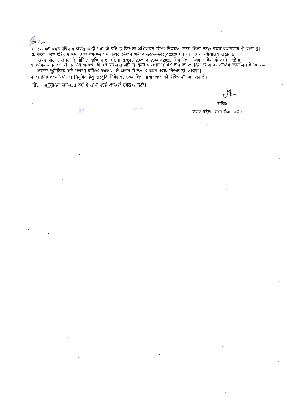$/$ 

1. उपरोक्त चयन परिणाम केवल उन्हीं पदों के प्रति है जिनका अधियाचन शिक्षा निदेशक, उच्च शिक्षा उत्तर प्रदेश प्रयागराज से प्राप्त है। 2. उक्त चयन परिणाम मा० उच्च न्यायालय में दायर स्पेशल अपील संख्या-945 / 2020 एवं मा० उच्च न्यायालय लखनऊ

- खण्ड पीठ, लखनऊ में योजित याचिका ए-संख्या-9754 / 2021 व 2344 / 2022 में पारित अन्तिम आदेश के अधीन रहेगा।<br>3. औपबन्धिक रूप से वयनित अभ्यर्थी वॉछित पत्रजात अन्तिम चयन परिणाम घोषित होने के 21 दिन के अन्दर आयोग कार्यालय में उपल
- कराना सुनिश्चित करें अन्यथा वांछित पत्रजात के अभाव में उनका चयन स्वतः निरस्त हो जायेगा। 4. चयनित अभ्यर्थियों की नियुक्ति हेतु संस्तुति निदेशक, उच्च शिक्षा प्रयागराज को प्रेषित की जा रही है।

नोट- अनुसूचित जनजाति वर्ग में अन्य कोई अभ्यर्थी उपलब्ध नहीं।

£Ì

सचिव

उत्तर प्रदेश शिक्षा सेवा आयोग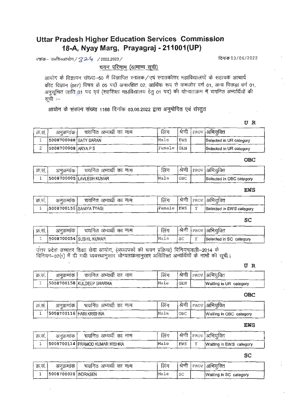# **Uttar Pradesh Higher Education Services Commission 18-A, Nyay Marg, Prayagraj - 211001 (UP)**

पत्रांक– उ०शि०आयोग / ? 2 G / 2022.2023 / <u>क्यांक पत्रांक पत्रांक पत्रांक 03/06/2022</u>

चयन परिणाम (सामान्य सूची)

आयोग के विज्ञापन संख्या—50 में विज्ञापित स्नातक/एवं स्नातकोत्तर महाविद्यालयों के सहायक आचार्य कीट विज्ञान (087) विषय के 05 पदों अनारक्षित 02, आर्थिक रूप से कमजोर वर्ग 01, अन्य पिछड़ा वर्ग 01, अनुसूचित जाति 01 पद एवं (सहशिक्षा महाविद्यालय हेतु 01 पद) की योग्यताक्रम में चयनित अभ्यर्थियों की सूची :--

आयोग के संकल्प संख्या 1166 दिनांक 03.06.2022 द्वारा अनुमोदित एवं संस्तुत

**UR** 

|         |                       |                       |             |       | Ð                          |
|---------|-----------------------|-----------------------|-------------|-------|----------------------------|
| क्र.सं. | अनुक्रमाक             | चयनित अभ्यर्थी का नाम | लिंग        |       | । श्रेणी   PROV  अभियुक्ति |
|         | 5008700088 SATY SARAN |                       | <b>Male</b> | EWS   | Selected in UR category    |
| っ       | 5008700008 ARYA PS    |                       | lFemale     | l GEN | Selected in UR category    |

**OBC** 

|         |          |                          |      |     | <b>OBC</b>                  |
|---------|----------|--------------------------|------|-----|-----------------------------|
| क्र.सं. | अनक्रमाक | चयनित अभ्यर्थी का नाम    | लिंग |     | । श्रेणी   PROV   अभियुक्ति |
|         |          | 5008700005 LAVLESH KUMAR | Male | OBC | Selected in OBC category    |

### **EWS**

|         |                         |                       |             |  | <b>EWS</b>               |
|---------|-------------------------|-----------------------|-------------|--|--------------------------|
| क्र.सं. | अनुक्रमांक              | चयनित अभ्यर्थी का नाम | लिंग        |  | श्रेणी  PROV अभियक्ति    |
|         | 5008700150 SANIYA TYAGI |                       | Female IEWS |  | Selected in EWS category |

**SC** 

|         |           |                         |      |    | ou                      |
|---------|-----------|-------------------------|------|----|-------------------------|
| क्र.सं. | अनुक्रमाक | चयनित अभ्यर्थी का नाम   | लिंग |    | श्रेणी  PROV  अभियक्ति  |
|         |           | S008700054 SUSHIL KUMAR | Male | SC | Selected in SC category |

उत्तर प्रदेश उच्चतर शिक्षा सेवा आयोग, (अध्यापकों की चयन प्रक्रिया) विनियमावली—2014 के विनियम-07(1) में दी गयी व्यवस्थानुसार योग्यताक्रमानुसार अतिरिक्त अभ्यर्थियों के नामों की सूची।

**UR** 

| क्र.स. | अनक्रमाक | चयनित अभ्यर्थी का नाम     | लिंग |       | श्रेणी  PROV  अभियक्ति |
|--------|----------|---------------------------|------|-------|------------------------|
|        |          | 5008700158 KULDEEP SHARMA | Male | l GEN | Waiting in UR category |

**OBC** 

|        |                           |                       |      |     | UBC                     |
|--------|---------------------------|-----------------------|------|-----|-------------------------|
| क्र.स. | अनुक्रमाक                 | चयनित अभ्यर्थी का नाम | लिंग |     | श्रेणी  PROV अभियक्ति   |
|        | 5008700116   HARI KRISHNA |                       | Male | ОВС | Waiting in OBC category |

**EWS** 

|        |            |                                  |      |     | エMつ                         |
|--------|------------|----------------------------------|------|-----|-----------------------------|
| क्र.स. | अनक्रमाक ! | चर्यानेत अभ्यर्थी का नाम         | लिंग |     | । श्रेणी   PROV   अभियुक्ति |
|        |            | 5008700114   PRAMOD KUMAR MISHRA | Male | EWS | Waiting in EWS category     |

**SC** 

|         |                       |                     |      |        | ou                     |
|---------|-----------------------|---------------------|------|--------|------------------------|
| क्र.सं. | अनुक्रमाक             | चयनित अभ्यथी का नाम | लिंग | श्रेणी | PROV  अभियक्ति         |
|         | 5008700028   INDRASEN |                     | Male | -SC    | Waiting in SC category |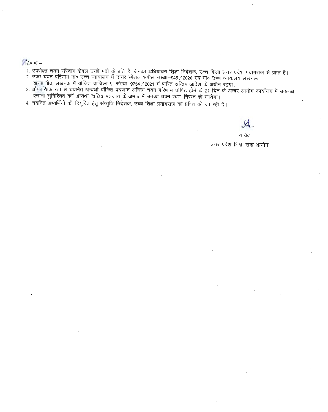**ि**पणी-

'

1. उपरोक्त चयन परिणाम केवल उन्हीं पदों के प्रति है जिनका अधियाचन शिक्षा निदेशक, उच्च शिक्षा उत्तर प्रदेश प्रयागराज से प्राप्त है।

- ... उनसमय जब । गरेगान नजरा ४ डाट्या ने दायर स्पेशल अपील संख्या–945/2020 एवं मा० उच्च न्यायालय लखनऊ
- 2. उक्त चयन परिणाम माठ उच्च न्यायालय में दायर स्पेशल अपील संख्या—945 / 2020 एवं माठ उच्च न्यायालय लखनऊ<br>-- 'खण्ड पीठ, लखनऊ में योजित याचिका ए—संख्या—9754 / 2021 में पारित अन्तिम आदेश के अधीन रहेगा।<br>-- कराना सुनिषिचन कुरें cp'<'FlT -<Jf.'l~ila cITT' 3{',:;q'm cr®c, ~ \* 3l'+flq if 'i3",CITT ~ x<m: ~'ITT~ 1
- 4. चयनित अभ्यर्थियों की नियुक्ति हेतु संस्तुति निदेशक, उच्च शिक्षा प्रयागराज को प्रेषित की जा रही है।

सचिव उत्तर प्रदेश शिक्षा सेवा आयोग